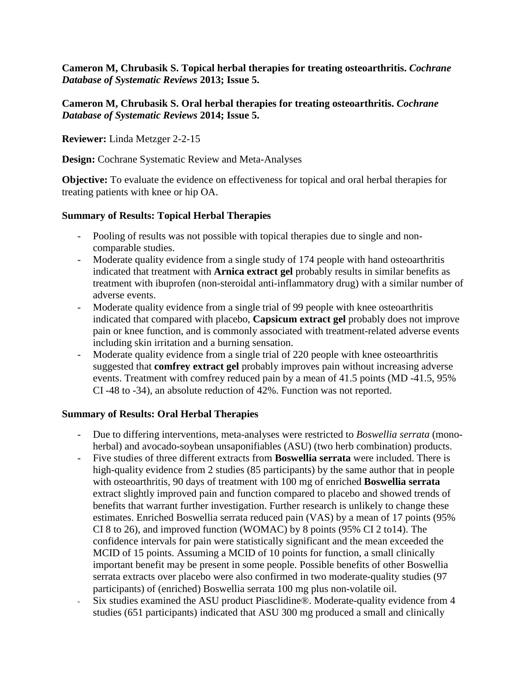**Cameron M, Chrubasik S. Topical herbal therapies for treating osteoarthritis.** *Cochrane Database of Systematic Reviews* **2013; Issue 5.**

## **Cameron M, Chrubasik S. Oral herbal therapies for treating osteoarthritis.** *Cochrane Database of Systematic Reviews* **2014; Issue 5.**

**Reviewer:** Linda Metzger 2-2-15

**Design:** Cochrane Systematic Review and Meta-Analyses

**Objective:** To evaluate the evidence on effectiveness for topical and oral herbal therapies for treating patients with knee or hip OA.

# **Summary of Results: Topical Herbal Therapies**

- Pooling of results was not possible with topical therapies due to single and noncomparable studies.
- Moderate quality evidence from a single study of 174 people with hand osteoarthritis indicated that treatment with **Arnica extract gel** probably results in similar benefits as treatment with ibuprofen (non-steroidal anti-inflammatory drug) with a similar number of adverse events.
- Moderate quality evidence from a single trial of 99 people with knee osteoarthritis indicated that compared with placebo, **Capsicum extract gel** probably does not improve pain or knee function, and is commonly associated with treatment-related adverse events including skin irritation and a burning sensation.
- Moderate quality evidence from a single trial of 220 people with knee osteoarthritis suggested that **comfrey extract gel** probably improves pain without increasing adverse events. Treatment with comfrey reduced pain by a mean of 41.5 points (MD -41.5, 95% CI -48 to -34), an absolute reduction of 42%. Function was not reported.

# **Summary of Results: Oral Herbal Therapies**

- Due to differing interventions, meta-analyses were restricted to *Boswellia serrata* (monoherbal) and avocado-soybean unsaponifiables (ASU) (two herb combination) products.
- Five studies of three different extracts from **Boswellia serrata** were included. There is high-quality evidence from 2 studies (85 participants) by the same author that in people with osteoarthritis, 90 days of treatment with 100 mg of enriched **Boswellia serrata** extract slightly improved pain and function compared to placebo and showed trends of benefits that warrant further investigation. Further research is unlikely to change these estimates. Enriched Boswellia serrata reduced pain (VAS) by a mean of 17 points (95% CI 8 to 26), and improved function (WOMAC) by 8 points (95% CI 2 to14). The confidence intervals for pain were statistically significant and the mean exceeded the MCID of 15 points. Assuming a MCID of 10 points for function, a small clinically important benefit may be present in some people. Possible benefits of other Boswellia serrata extracts over placebo were also confirmed in two moderate-quality studies (97 participants) of (enriched) Boswellia serrata 100 mg plus non-volatile oil.
- Six studies examined the ASU product Piasclidine®. Moderate-quality evidence from 4 studies (651 participants) indicated that ASU 300 mg produced a small and clinically